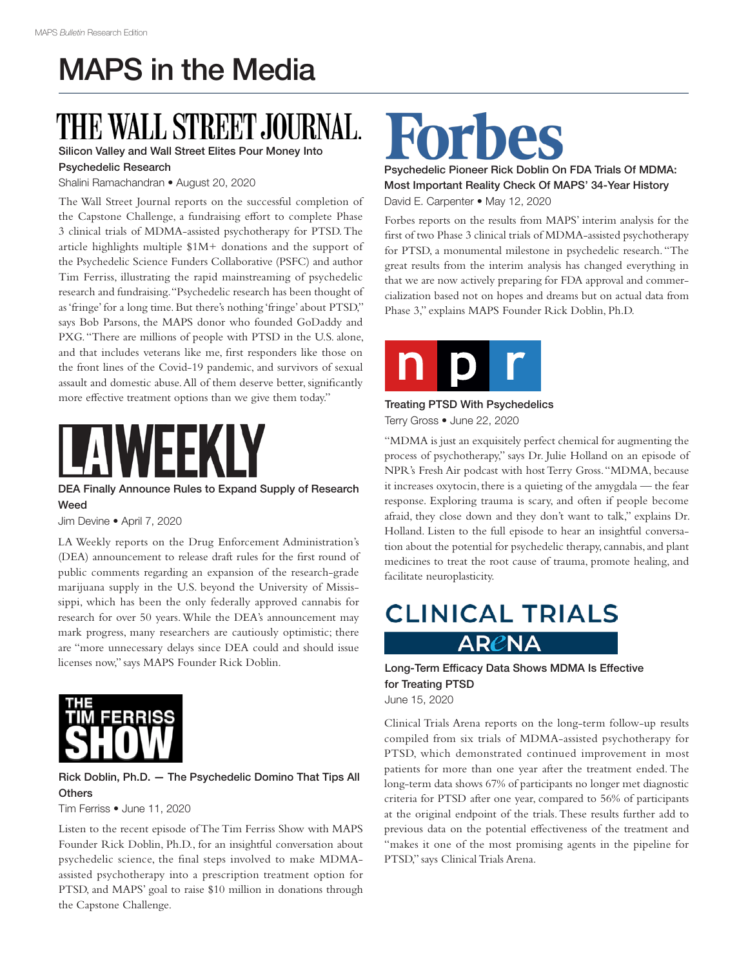## MAPS in the Media

# THE WALL STREET JO

### Silicon Valley and Wall Street Elites Pour Money Into

#### Psychedelic Research

Shalini Ramachandran • August 20, 2020

The Wall Street Journal reports on the successful completion of the Capstone Challenge, a fundraising effort to complete Phase 3 clinical trials of MDMA-assisted psychotherapy for PTSD. The article highlights multiple \$1M+ donations and the support of the Psychedelic Science Funders Collaborative (PSFC) and author Tim Ferriss, illustrating the rapid mainstreaming of psychedelic research and fundraising. "Psychedelic research has been thought of as 'fringe' for a long time. But there's nothing 'fringe' about PTSD," says Bob Parsons, the MAPS donor who founded GoDaddy and PXG. "There are millions of people with PTSD in the U.S. alone, and that includes veterans like me, first responders like those on the front lines of the Covid-19 pandemic, and survivors of sexual assault and domestic abuse. All of them deserve better, significantly more effective treatment options than we give them today."

DEA Finally Announce Rules to Expand Supply of Research Weed

Jim Devine • April 7, 2020

LA Weekly reports on the Drug Enforcement Administration's (DEA) announcement to release draft rules for the first round of public comments regarding an expansion of the research-grade marijuana supply in the U.S. beyond the University of Mississippi, which has been the only federally approved cannabis for research for over 50 years. While the DEA's announcement may mark progress, many researchers are cautiously optimistic; there are "more unnecessary delays since DEA could and should issue licenses now," says MAPS Founder Rick Doblin.



### Rick Doblin, Ph.D. — The Psychedelic Domino That Tips All **Others**

Tim Ferriss • June 11, 2020

Listen to the recent episode of The Tim Ferriss Show with MAPS Founder Rick Doblin, Ph.D., for an insightful conversation about psychedelic science, the final steps involved to make MDMAassisted psychotherapy into a prescription treatment option for PTSD, and MAPS' goal to raise \$10 million in donations through the Capstone Challenge.

Psychedelic Pioneer Rick Doblin On FDA Trials Of MDMA: Most Important Reality Check Of MAPS' 34-Year History David E. Carpenter • May 12, 2020

Forbes reports on the results from MAPS' interim analysis for the first of two Phase 3 clinical trials of MDMA-assisted psychotherapy for PTSD, a monumental milestone in psychedelic research. "The great results from the interim analysis has changed everything in that we are now actively preparing for FDA approval and commercialization based not on hopes and dreams but on actual data from Phase 3," explains MAPS Founder Rick Doblin, Ph.D.



#### Treating PTSD With Psychedelics Terry Gross • June 22, 2020

"MDMA is just an exquisitely perfect chemical for augmenting the process of psychotherapy," says Dr. Julie Holland on an episode of NPR's Fresh Air podcast with host Terry Gross. "MDMA, because it increases oxytocin, there is a quieting of the amygdala — the fear response. Exploring trauma is scary, and often if people become afraid, they close down and they don't want to talk," explains Dr. Holland. Listen to the full episode to hear an insightful conversation about the potential for psychedelic therapy, cannabis, and plant medicines to treat the root cause of trauma, promote healing, and facilitate neuroplasticity.

### **CLINICAL TRIALS** ARCNA

#### Long-Term Efficacy Data Shows MDMA Is Effective for Treating PTSD June 15, 2020

Clinical Trials Arena reports on the long-term follow-up results compiled from six trials of MDMA-assisted psychotherapy for PTSD, which demonstrated continued improvement in most patients for more than one year after the treatment ended. The long-term data shows 67% of participants no longer met diagnostic criteria for PTSD after one year, compared to 56% of participants at the original endpoint of the trials. These results further add to previous data on the potential effectiveness of the treatment and "makes it one of the most promising agents in the pipeline for PTSD," says Clinical Trials Arena.